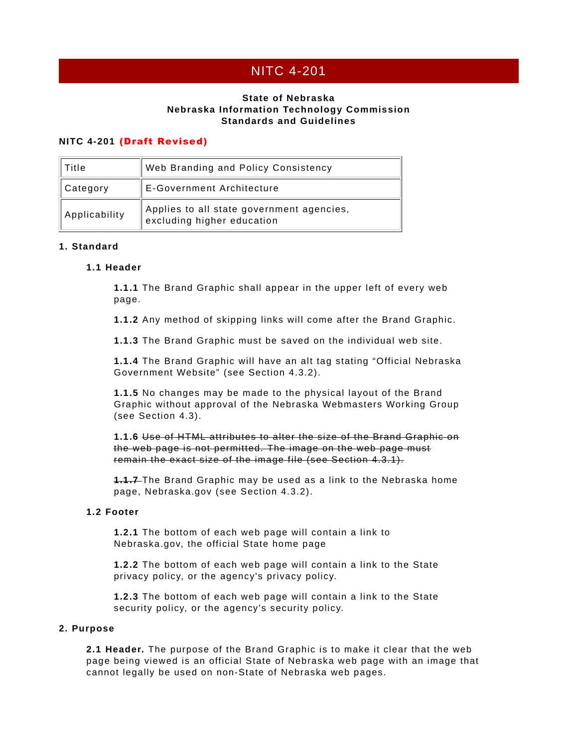# NITC 4-201

# **State of Nebraska Nebraska Information Technology Commission Standards and Guidelines**

# **NITC 4-201** (Draft Revised)

| Title         | <b>Web Branding and Policy Consistency</b>                              |
|---------------|-------------------------------------------------------------------------|
| Category      | <b>E-Government Architecture</b>                                        |
| Applicability | Applies to all state government agencies,<br>excluding higher education |

## **1. Standard**

## **1.1 Header**

**1.1.1** The Brand Graphic shall appear in the upper left of every web page.

**1.1.2** Any method of skipping links will come after the Brand Graphic.

**1.1.3** The Brand Graphic must be saved on the individual web site.

**1.1.4** The Brand Graphic will have an alt tag stating "Official Nebraska Government Website" (see Section 4.3.2).

**1.1.5** No changes may be made to the physical layout of the Brand Graphic without approval of the Nebraska Webmasters Working Group (see Section 4.3).

**1.1.6** Use of HTML attributes to alter the size of the Brand Graphic on the web page is not permitted. The image on the web page must remain the exact size of the image file (see Section 4.3.1).

**1.1.7** The Brand Graphic may be used as a link to the Nebraska home page, Nebraska.gov (see Section 4.3.2).

# **1.2 Footer**

**1.2.1** The bottom of each web page will contain a link to Nebraska.gov, the official State home page

**1.2.2** The bottom of each web page will contain a link to the State privacy policy, or the agency's privacy policy.

**1.2.3** The bottom of each web page will contain a link to the State security policy, or the agency's security policy.

#### **2. Purpose**

**2.1 Header.** The purpose of the Brand Graphic is to make it clear that the web page being viewed is an official State of Nebraska web page with an image that cannot legally be used on non-State of Nebraska web pages.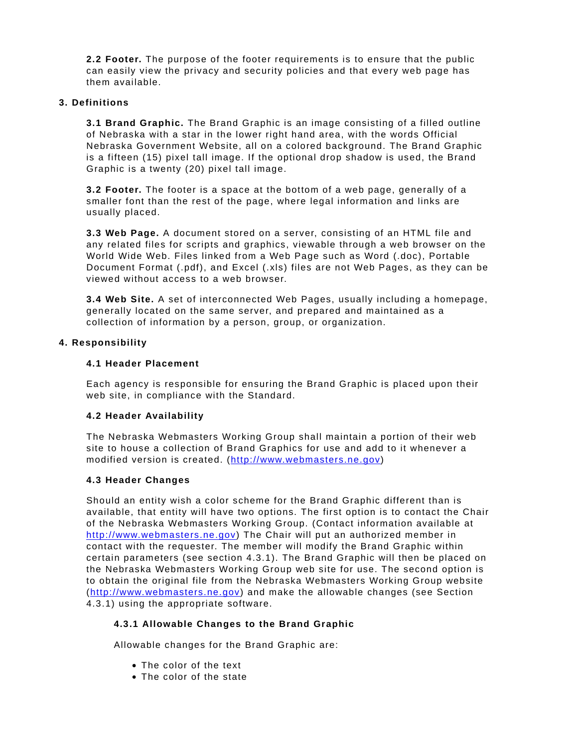**2.2 Footer.** The purpose of the footer requirements is to ensure that the public can easily view the privacy and security policies and that every web page has them available.

#### **3. Definitions**

**3.1 Brand Graphic.** The Brand Graphic is an image consisting of a filled outline of Nebraska with a star in the lower right hand area, with the words Official Nebraska Government Website, all on a colored background. The Brand Graphic is a fifteen (15) pixel tall image. If the optional drop shadow is used, the Brand Graphic is a twenty (20) pixel tall image.

**3.2 Footer.** The footer is a space at the bottom of a web page, generally of a smaller font than the rest of the page, where legal information and links are usually placed.

**3.3 Web Page.** A document stored on a server, consisting of an HTML file and any related files for scripts and graphics, viewable through a web browser on the World Wide Web. Files linked from a Web Page such as Word (.doc), Portable Document Format (.pdf), and Excel (.xls) files are not Web Pages, as they can be viewed without access to a web browser.

**3.4 Web Site.** A set of interconnected Web Pages, usually including a homepage, generally located on the same server, and prepared and maintained as a collection of information by a person, group, or organization.

## **4. Responsibility**

## **4.1 Header Placement**

Each agency is responsible for ensuring the Brand Graphic is placed upon their web site, in compliance with the Standard.

#### **4.2 Header Availability**

The Nebraska Webmasters Working Group shall maintain a portion of their web site to house a collection of Brand Graphics for use and add to it whenever a modified version is created. (http://www.webmasters.ne.gov)

# **4.3 Header Changes**

Should an entity wish a color scheme for the Brand Graphic different than is available, that entity will have two options. The first option is to contact the Chair of the Nebraska Webmasters Working Group. (Contact information available at http://www.webmasters.ne.gov) The Chair will put an authorized member in contact with the requester. The member will modify the Brand Graphic within certain parameters (see section 4.3.1). The Brand Graphic will then be placed on the Nebraska Webmasters Working Group web site for use. The second option is to obtain the original file from the Nebraska Webmasters Working Group website (http://www.webmasters.ne.gov) and make the allowable changes (see Section 4.3.1) using the appropriate software.

#### **4.3.1 Allowable Changes to the Brand Graphic**

Allowable changes for the Brand Graphic are:

- The color of the text
- The color of the state